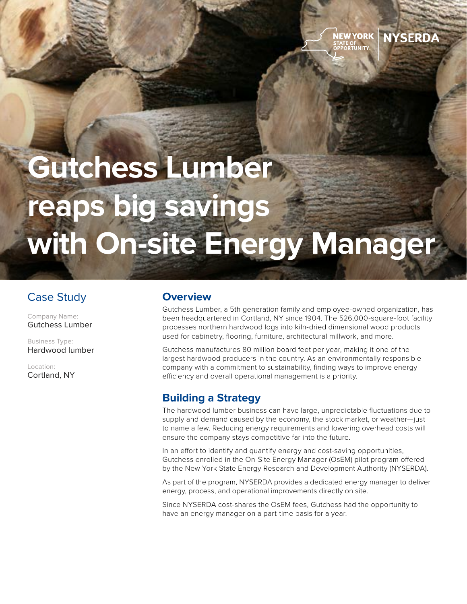# **Gutchess Lumber reaps big savings with On-site Energy Manager**

## Case Study

Company Name: Gutchess Lumber

Business Type: Hardwood lumber

Location: Cortland, NY

### **Overview**

Gutchess Lumber, a 5th generation family and employee-owned organization, has been headquartered in Cortland, NY since 1904. The 526,000-square-foot facility processes northern hardwood logs into kiln-dried dimensional wood products used for cabinetry, flooring, furniture, architectural millwork, and more.

**NEW YORK** 

**NYSERDA** 

Gutchess manufactures 80 million board feet per year, making it one of the largest hardwood producers in the country. As an environmentally responsible company with a commitment to sustainability, finding ways to improve energy efficiency and overall operational management is a priority.

#### **Building a Strategy**

The hardwood lumber business can have large, unpredictable fluctuations due to supply and demand caused by the economy, the stock market, or weather—just to name a few. Reducing energy requirements and lowering overhead costs will ensure the company stays competitive far into the future.

In an effort to identify and quantify energy and cost-saving opportunities, Gutchess enrolled in the On-Site Energy Manager (OsEM) pilot program offered by the New York State Energy Research and Development Authority (NYSERDA).

As part of the program, NYSERDA provides a dedicated energy manager to deliver energy, process, and operational improvements directly on site.

Since NYSERDA cost-shares the OsEM fees, Gutchess had the opportunity to have an energy manager on a part-time basis for a year.